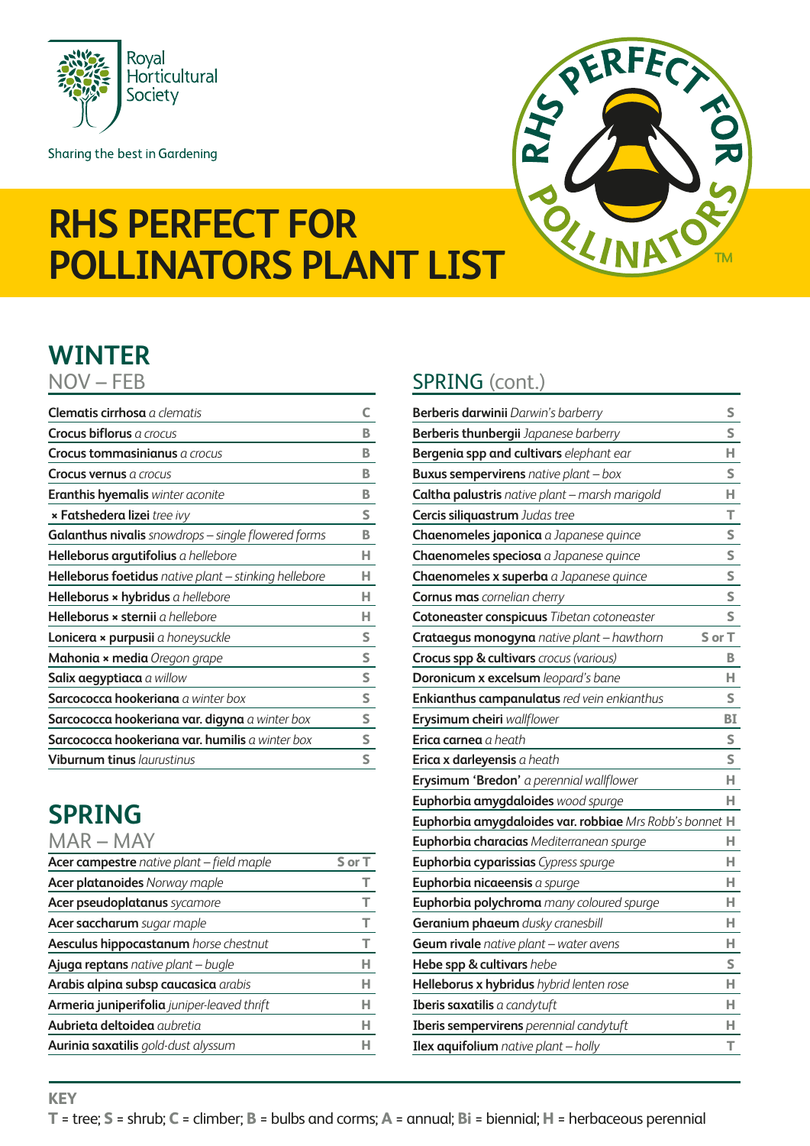

Sharing the best in Gardening



# **RHS Perfect for Pollinators plant list**

## **Winter**

| <b>Clematis cirrhosa</b> a clematis                   | c |
|-------------------------------------------------------|---|
| Crocus biflorus a crocus                              | в |
| Crocus tommasinianus a crocus                         | в |
| <b>Crocus vernus</b> a crocus                         | B |
| <b>Eranthis hyemalis</b> winter aconite               | В |
| <b>× Fatshedera lizei</b> tree ivy                    | S |
| Galanthus nivalis snowdrops - single flowered forms   | В |
| Helleborus argutifolius a hellebore                   | н |
| Helleborus foetidus native plant - stinking hellebore | н |
| Helleborus × hybridus a hellebore                     | н |
| Helleborus × sternii a hellebore                      | н |
| Lonicera × purpusii a honeysuckle                     | S |
| Mahonia x media Oregon grape                          | S |
| Salix aegyptiaca a willow                             | S |
| Sarcococca hookeriana a winter box                    | S |
| Sarcococca hookeriana var. digyna a winter box        | s |
| Sarcococca hookeriana var. humilis a winter box       | s |
| <b>Viburnum tinus laurustinus</b>                     | S |

## **spring**

| Acer campestre native plant - field maple   | S or T |
|---------------------------------------------|--------|
| <b>Acer platanoides</b> Norway maple        |        |
| Acer pseudoplatanus sycamore                | т      |
| Acer saccharum sugar maple                  | Т      |
| Aesculus hippocastanum horse chestnut       | т      |
| Ajuga reptans native plant - bugle          | н      |
| Arabis alpina subsp caucasica arabis        | н      |
| Armeria juniperifolia juniper-leaved thrift | н      |
| <b>Aubrieta deltoidea</b> aubretia          | н      |
| <b>Aurinia saxatilis</b> gold-dust alyssum  |        |

### NOV – FEB SPRING (cont.)

| <b>Berberis darwinii</b> Darwin's barberry              | S      |
|---------------------------------------------------------|--------|
| Berberis thunbergii Japanese barberry                   | S      |
| Bergenia spp and cultivars elephant ear                 | н      |
| <b>Buxus sempervirens</b> native plant - box            | S      |
| Caltha palustris native plant - marsh marigold          | н      |
| <b>Cercis siliquastrum</b> Judas tree                   | т      |
| Chaenomeles japonica a Japanese quince                  | S      |
| Chaenomeles speciosa a Japanese quince                  | S      |
| Chaenomeles x superba a Japanese quince                 | S      |
| <b>Cornus mas</b> cornelian cherry                      | S      |
| <b>Cotoneaster conspicuus Tibetan cotoneaster</b>       | S      |
| Crataegus monogyna native plant - hawthorn              | S or T |
| Crocus spp & cultivars crocus (various)                 | В      |
| Doronicum x excelsum leopard's bane                     | н      |
| Enkianthus campanulatus red vein enkianthus             | S      |
| Erysimum cheiri wallflower                              | BI     |
| Erica carnea a heath                                    | S      |
| Erica x darleyensis a heath                             | S      |
| Erysimum 'Bredon' a perennial wallflower                | н      |
| Euphorbia amygdaloides wood spurge                      | н      |
| Euphorbia amygdaloides var. robbiae Mrs Robb's bonnet H |        |
| Euphorbia characias Mediterranean spurge                | н      |
| <b>Euphorbia cyparissias</b> Cypress spurge             | н      |
| Euphorbia nicaeensis a spurge                           | н      |
| Euphorbia polychroma many coloured spurge               | н      |
| Geranium phaeum dusky cranesbill                        | н      |
| Geum rivale native plant - water avens                  | н      |
| Hebe spp & cultivars hebe                               | S      |
| Helleborus x hybridus hybrid lenten rose                | н      |
| Iberis saxatilis a candytuft                            | н      |
| Iberis sempervirens perennial candytuft                 | н      |
| <b>Ilex aquifolium</b> native plant $-$ holly           | T      |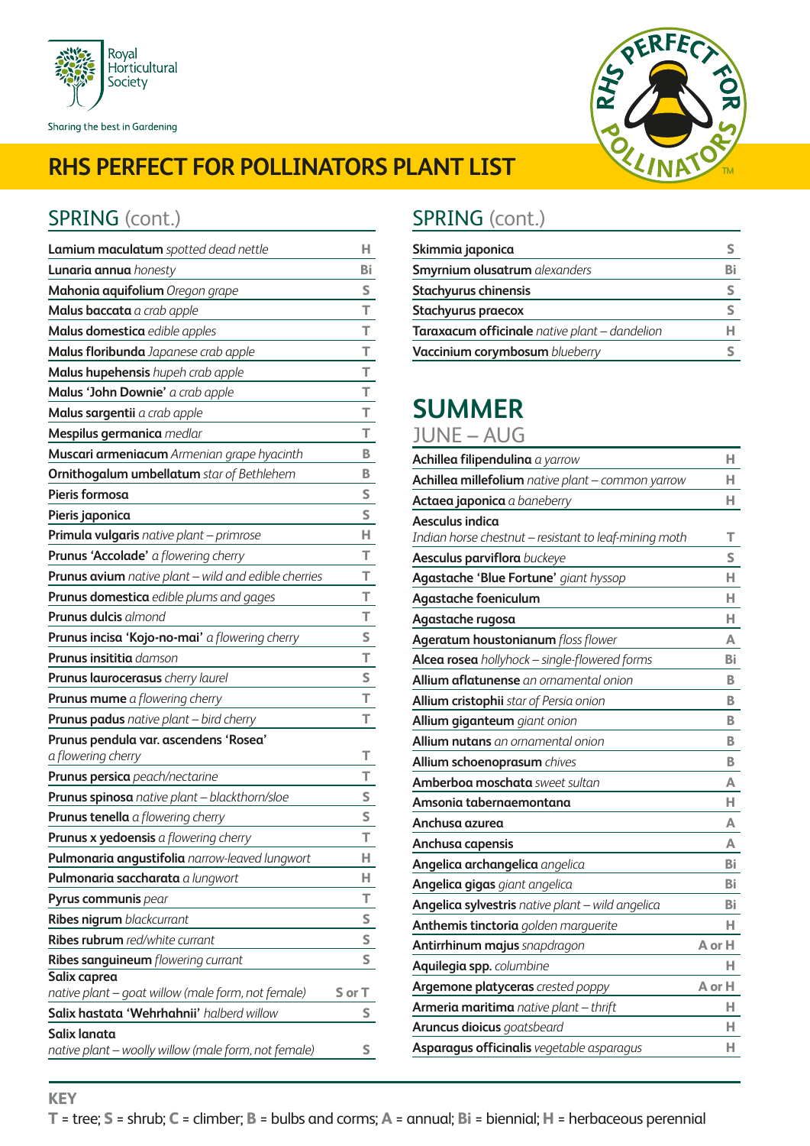



### SPRING (cont.) SPRING (cont.)

**KEY**

| Lamium maculatum spotted dead nettle                               | н      |
|--------------------------------------------------------------------|--------|
| Lunaria annua honesty                                              | Bi     |
| Mahonia aquifolium Oregon grape                                    | S      |
| Malus baccata a crab apple                                         | т      |
| Malus domestica edible apples                                      | т      |
| Malus floribunda Japanese crab apple                               | T      |
| Malus hupehensis hupeh crab apple                                  | T      |
| Malus 'John Downie' a crab apple                                   | T      |
| Malus sargentii a crab apple                                       | T      |
| Mespilus germanica medlar                                          | т      |
| Muscari armeniacum Armenian grape hyacinth                         | В      |
| <b>Ornithogalum umbellatum</b> star of Bethlehem                   | в      |
| Pieris formosa                                                     | S      |
| Pieris japonica                                                    | S      |
| <b>Primula vulgaris</b> native plant - primrose                    | н      |
| Prunus 'Accolade' a flowering cherry                               | т      |
| Prunus avium native plant - wild and edible cherries               | т      |
| Prunus domestica edible plums and gages                            | т      |
| <b>Prunus dulcis</b> almond                                        | т      |
| Prunus incisa 'Kojo-no-mai' a flowering cherry                     | S      |
| <b>Prunus insititia</b> damson                                     | T      |
| Prunus laurocerasus cherry laurel                                  | S      |
| Prunus mume a flowering cherry                                     | т      |
| <b>Prunus padus</b> native plant - bird cherry                     | т      |
| Prunus pendula var. ascendens 'Rosea'                              |        |
| a flowering cherry                                                 | т      |
| Prunus persica peach/nectarine                                     | т      |
| Prunus spinosa native plant - blackthorn/sloe                      | S      |
| <b>Prunus tenella</b> a flowering cherry                           | S      |
| Prunus x yedoensis a flowering cherry                              | т      |
| Pulmonaria angustifolia narrow-leaved lungwort                     | н      |
| Pulmonaria saccharata a lungwort                                   | н      |
| Pyrus communis pear                                                | т      |
| Ribes nigrum blackcurrant                                          | S      |
| <b>Ribes rubrum</b> red/white currant                              | S      |
| Ribes sanguineum flowering currant                                 | S      |
| Salix caprea<br>native plant – goat willow (male form, not female) | S or T |
| Salix hastata 'Wehrhahnii' halberd willow                          | S      |
| Salix lanata                                                       |        |
| native plant - woolly willow (male form, not female)               | S      |

| Skimmia japonica                              |    |
|-----------------------------------------------|----|
| <b>Smyrnium olusatrum</b> alexanders          | Bi |
| <b>Stachyurus chinensis</b>                   |    |
| Stachyurus praecox                            |    |
| Taraxacum officinale native plant - dandelion |    |
| Vaccinium corymbosum blueberry                |    |

## **Summer**

**Achillea filipendulina** *a yarrow* **H Achillea millefolium** *native plant – common yarrow* **H Actaea japonica** *a baneberry* **H Aesculus indica** *Indian horse chestnut – resistant to leaf-mining moth* **T Aesculus parviflora** *buckeye* **S Agastache 'Blue Fortune'** *giant hyssop* **H Agastache foeniculum H Agastache rugosa H Ageratum houstonianum** *floss flower* **A Alcea rosea** *hollyhock – single-flowered forms* **Bi Allium aflatunense** *an ornamental onion* **B Allium cristophii** *star of Persia onion* **B Allium giganteum** *giant onion* **B Allium nutans** *an ornamental onion* **B Allium schoenoprasum** *chives* **B Amberboa moschata** *sweet sultan* **A Amsonia tabernaemontana H Anchusa azurea A Anchusa capensis A Angelica archangelica** *angelica* **Bi Angelica gigas** *giant angelica* **Bi Angelica sylvestris** *native plant – wild angelica* **Bi Anthemis tinctoria** *golden marguerite* **H Antirrhinum majus** *snapdragon* **A or H Aquilegia spp.** *columbine* **H Argemone platyceras** *crested poppy* **A or H Armeria maritima** *native plant – thrift* **H Aruncus dioicus** *goatsbeard* **H Asparagus officinalis** *vegetable asparagus* **H** June – Aug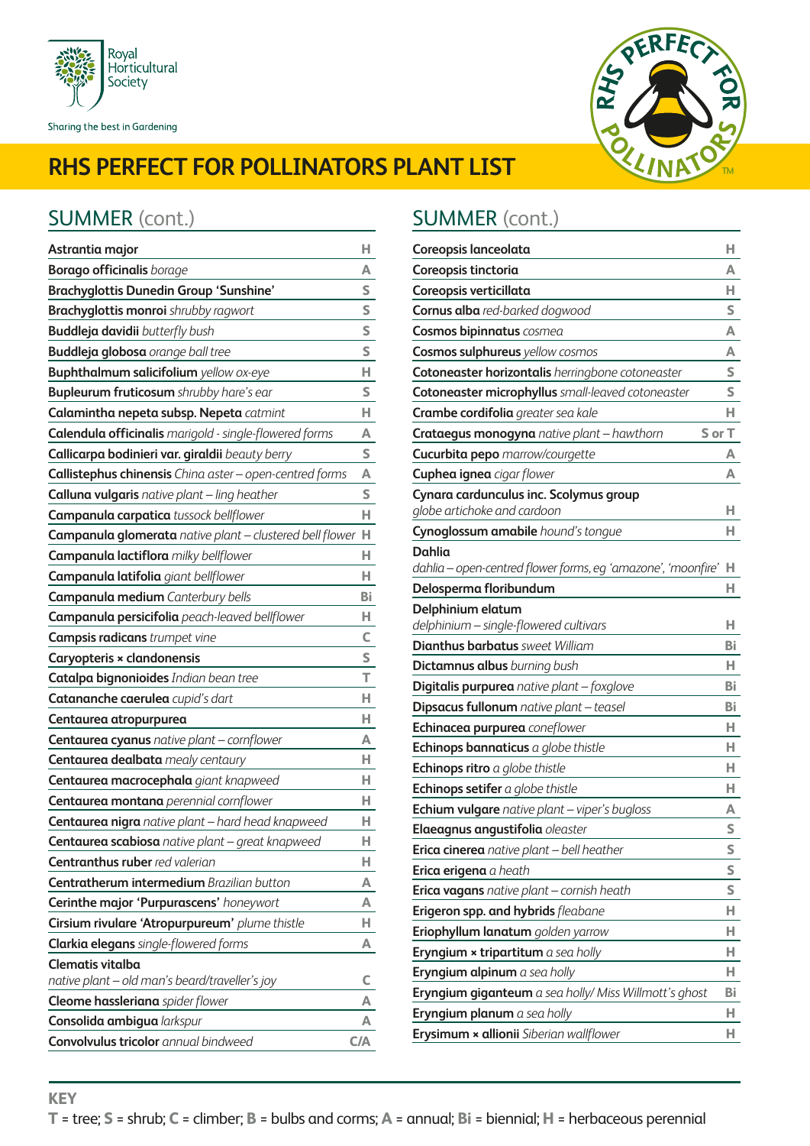

Sharing the best in Gardening



## **RHS Perfect for Pollinators plant list**

### SUMMER (cont.) **SUMMER** (cont.)

| Astrantia major                                          | н   |
|----------------------------------------------------------|-----|
| <b>Borago officinalis</b> borage                         | А   |
| <b>Brachyglottis Dunedin Group 'Sunshine'</b>            | S   |
| <b>Brachyglottis monroi</b> shrubby ragwort              | S   |
| Buddleja davidii butterfly bush                          | S   |
| <b>Buddleja globosa</b> orange ball tree                 | S   |
| <b>Buphthalmum salicifolium</b> yellow ox-eye            | н   |
| <b>Bupleurum fruticosum</b> shrubby hare's ear           | s   |
| Calamintha nepeta subsp. Nepeta catmint                  | н   |
| Calendula officinalis marigold - single-flowered forms   | Α   |
| Callicarpa bodinieri var. giraldii beauty berry          | S   |
| Callistephus chinensis China aster - open-centred forms  | Α   |
| Calluna vulgaris native plant - ling heather             | S   |
| Campanula carpatica tussock bellflower                   | н   |
| Campanula glomerata native plant - clustered bell flower | н   |
| Campanula lactiflora milky bellflower                    | н   |
| Campanula latifolia giant bellflower                     | н   |
| Campanula medium Canterbury bells                        | Bi  |
| Campanula persicifolia peach-leaved bellflower           | н   |
| <b>Campsis radicans</b> trumpet vine                     | c   |
| Caryopteris × clandonensis                               | S   |
| Catalpa bignonioides Indian bean tree                    | T   |
| Catananche caerulea cupid's dart                         | н   |
| Centaurea atropurpurea                                   | н   |
| Centaurea cyanus native plant - cornflower               | А   |
| Centaurea dealbata mealy centaury                        | н   |
| Centaurea macrocephala giant knapweed                    | н   |
| Centaurea montana perennial cornflower                   | н   |
| Centaurea nigra native plant - hard head knapweed        | н   |
| Centaurea scabiosa native plant - great knapweed         | н   |
| Centranthus ruber red valerian                           | н   |
| <b>Centratherum intermedium Brazilian button</b>         | А   |
| Cerinthe major 'Purpurascens' honeywort                  | А   |
| Cirsium rivulare 'Atropurpureum' plume thistle           | н   |
| <b>Clarkia elegans</b> single-flowered forms             | А   |
| Clematis vitalba                                         |     |
| native plant – old man's beard/traveller's joy           | C   |
| Cleome hassleriana spider flower                         | А   |
| Consolida ambigua larkspur                               | А   |
| Convolvulus tricolor annual bindweed                     | C/A |

| Coreopsis lanceolata                                         | н      |
|--------------------------------------------------------------|--------|
| Coreopsis tinctoria                                          | А      |
| Coreopsis verticillata                                       | н      |
| <b>Cornus alba</b> red-barked dogwood                        | S      |
| <b>Cosmos bipinnatus</b> cosmea                              | А      |
| Cosmos sulphureus yellow cosmos                              | А      |
| Cotoneaster horizontalis herringbone cotoneaster             | S      |
| Cotoneaster microphyllus small-leaved cotoneaster            | S      |
| Crambe cordifolia greater sea kale                           | н      |
| Crataegus monogyna native plant - hawthorn                   | S or T |
| Cucurbita pepo marrow/courgette                              | А      |
| <b>Cuphea ignea</b> cigar flower                             | А      |
| Cynara cardunculus inc. Scolymus group                       |        |
| globe artichoke and cardoon                                  | н      |
| Cynoglossum amabile hound's tongue                           | н      |
| Dahlia                                                       |        |
| dahlia – open-centred flower forms, eg 'amazone', 'moonfire' | н      |
| Delosperma floribundum                                       | н      |
| Delphinium elatum                                            |        |
| delphinium - single-flowered cultivars                       | н      |
| <b>Dianthus barbatus</b> sweet William                       | Вi     |
| Dictamnus albus burning bush                                 | н      |
| <b>Digitalis purpurea</b> native plant - foxglove            | Bi     |
| Dipsacus fullonum native plant - teasel                      | Вi     |
| Echinacea purpurea coneflower                                | н      |
| Echinops bannaticus a globe thistle                          | н      |
| <b>Echinops ritro</b> $a$ globe thistle                      | н      |
| Echinops setifer a globe thistle                             | н      |
| <b>Echium vulgare</b> native plant - viper's bugloss         | А      |
| Elaeagnus angustifolia oleaster                              | S      |
| Erica cinerea native plant - bell heather                    | S      |
| <b>Erica erigena</b> a heath                                 | S      |
| Erica vagans native plant - cornish heath                    | S      |
| Erigeron spp. and hybrids fleabane                           | н      |
| Eriophyllum lanatum golden yarrow                            | н      |
| <b>Eryngium × tripartitum</b> a sea holly                    | н      |
| <b>Eryngium alpinum</b> a sea holly                          | н      |
| Eryngium giganteum a sea holly/ Miss Willmott's ghost        | Bi     |
| Eryngium planum a sea holly                                  | н      |
| Erysimum × allionii Siberian wallflower                      | н      |
|                                                              |        |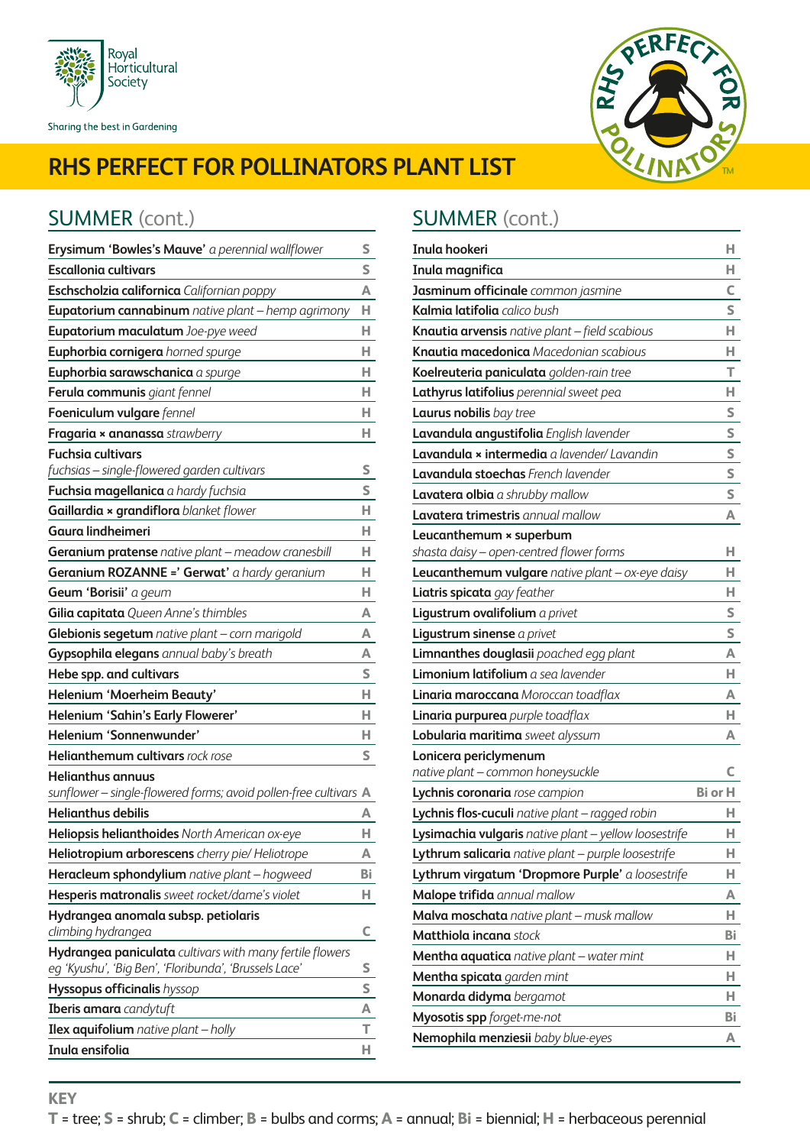



| Erysimum 'Bowles's Mauve' a perennial wallflower                                             | S      |
|----------------------------------------------------------------------------------------------|--------|
| <b>Escallonia cultivars</b>                                                                  | S      |
| Eschscholzia californica Californian poppy                                                   | A      |
| Eupatorium cannabinum native plant - hemp agrimony                                           | н      |
| Eupatorium maculatum Joe-pye weed                                                            | н      |
| Euphorbia cornigera horned spurge                                                            | н      |
| Euphorbia sarawschanica a spurge                                                             | н      |
| Ferula communis giant fennel                                                                 | н      |
| Foeniculum vulgare fennel                                                                    | н      |
| Fragaria x ananassa strawberry                                                               | н      |
| <b>Fuchsia cultivars</b>                                                                     |        |
| fuchsias - single-flowered garden cultivars                                                  | s      |
| Fuchsia magellanica a hardy fuchsia                                                          | S      |
| Gaillardia x grandiflora blanket flower                                                      | н      |
| Gaura lindheimeri                                                                            | н      |
| Geranium pratense native plant - meadow cranesbill                                           | н      |
| Geranium ROZANNE =' Gerwat' a hardy geranium                                                 | н      |
| Geum 'Borisii' a geum                                                                        | н      |
| Gilia capitata Queen Anne's thimbles                                                         | A      |
| Glebionis segetum native plant - corn marigold                                               | A      |
| Gypsophila elegans annual baby's breath                                                      | А      |
| Hebe spp. and cultivars                                                                      | S      |
| Helenium 'Moerheim Beauty'                                                                   | н      |
| Helenium 'Sahin's Early Flowerer'                                                            | н      |
| Helenium 'Sonnenwunder'                                                                      | н      |
| Helianthemum cultivars rock rose                                                             | S      |
| <b>Helianthus annuus</b><br>sunflower - single-flowered forms; avoid pollen-free cultivars A |        |
| <b>Helianthus debilis</b>                                                                    | А      |
| Heliopsis helianthoides North American ox-eye                                                | н      |
| Heliotropium arborescens cherry pie/ Heliotrope                                              | Α      |
| Heracleum sphondylium native plant - hogweed                                                 | Bi     |
| Hesperis matronalis sweet rocket/dame's violet                                               | н      |
| Hydrangea anomala subsp. petiolaris                                                          |        |
| climbing hydrangea                                                                           | C      |
| Hydrangea paniculata cultivars with many fertile flowers                                     |        |
| eg 'Kyushu', 'Big Ben', 'Floribunda', 'Brussels Lace'                                        | S<br>S |
| <b>Hyssopus officinalis</b> hyssop                                                           |        |
| <b>Iberis amara</b> candytuft                                                                | A<br>т |
| <b>Ilex aquifolium</b> native plant $-$ holly                                                |        |
| Inula ensifolia                                                                              | н      |

### SUMMER (cont.) **SUMMER** (cont.)

| Inula hookeri                                                                                                   | н              |
|-----------------------------------------------------------------------------------------------------------------|----------------|
| Inula magnifica                                                                                                 | н              |
| Jasminum officinale common jasmine                                                                              | C              |
| Kalmia latifolia calico bush                                                                                    | S              |
| Knautia arvensis native plant - field scabious                                                                  | н              |
| Knautia macedonica Macedonian scabious                                                                          | н              |
| Koelreuteria paniculata golden-rain tree                                                                        | т              |
| Lathyrus latifolius perennial sweet pea                                                                         | н              |
| <b>Laurus nobilis</b> bay tree                                                                                  | S              |
| Lavandula angustifolia English lavender                                                                         | S              |
| <b>Lavandula × intermedia</b> a lavender/ Lavandin                                                              | S              |
| <b>Lavandula stoechas</b> French lavender                                                                       | S              |
| Lavatera olbia a shrubby mallow                                                                                 | S              |
| <b>Lavatera trimestris</b> annual mallow                                                                        | A              |
| Leucanthemum × superbum                                                                                         |                |
| shasta daisy - open-centred flower forms                                                                        | н              |
| Leucanthemum vulgare native plant - ox-eye daisy                                                                | н              |
| Liatris spicata gay feather                                                                                     | н              |
| Ligustrum ovalifolium a privet                                                                                  | S              |
| Ligustrum sinense a privet                                                                                      | S              |
| Limnanthes douglasii poached egg plant                                                                          | A              |
| Limonium latifolium a sea lavender                                                                              | н              |
| Linaria maroccana Moroccan toadflax                                                                             | A              |
| Linaria purpurea purple toadflax                                                                                | н              |
| Lobularia maritima sweet alyssum                                                                                | А              |
| Lonicera periclymenum<br>native plant - common honeysuckle                                                      |                |
| Lychnis coronaria rose campion                                                                                  | <b>Bi</b> or H |
|                                                                                                                 | н              |
| <b>Lychnis flos-cuculi</b> native plant – ragged robin<br>Lysimachia vulgaris native plant - yellow loosestrife | н              |
| Lythrum salicaria native plant - purple loosestrife                                                             | н              |
| Lythrum virgatum 'Dropmore Purple' a loosestrife                                                                | н              |
| Malope trifida annual mallow                                                                                    | A              |
| Malva moschata native plant - musk mallow                                                                       | н              |
| Matthiola incana stock                                                                                          | Вi             |
|                                                                                                                 | н              |
| Mentha aquatica native plant - water mint                                                                       | н              |
| Mentha spicata garden mint                                                                                      | н              |
| Monarda didyma bergamot                                                                                         |                |
| Myosotis spp forget-me-not                                                                                      | Вi             |
| Nemophila menziesii baby blue-eyes                                                                              | А              |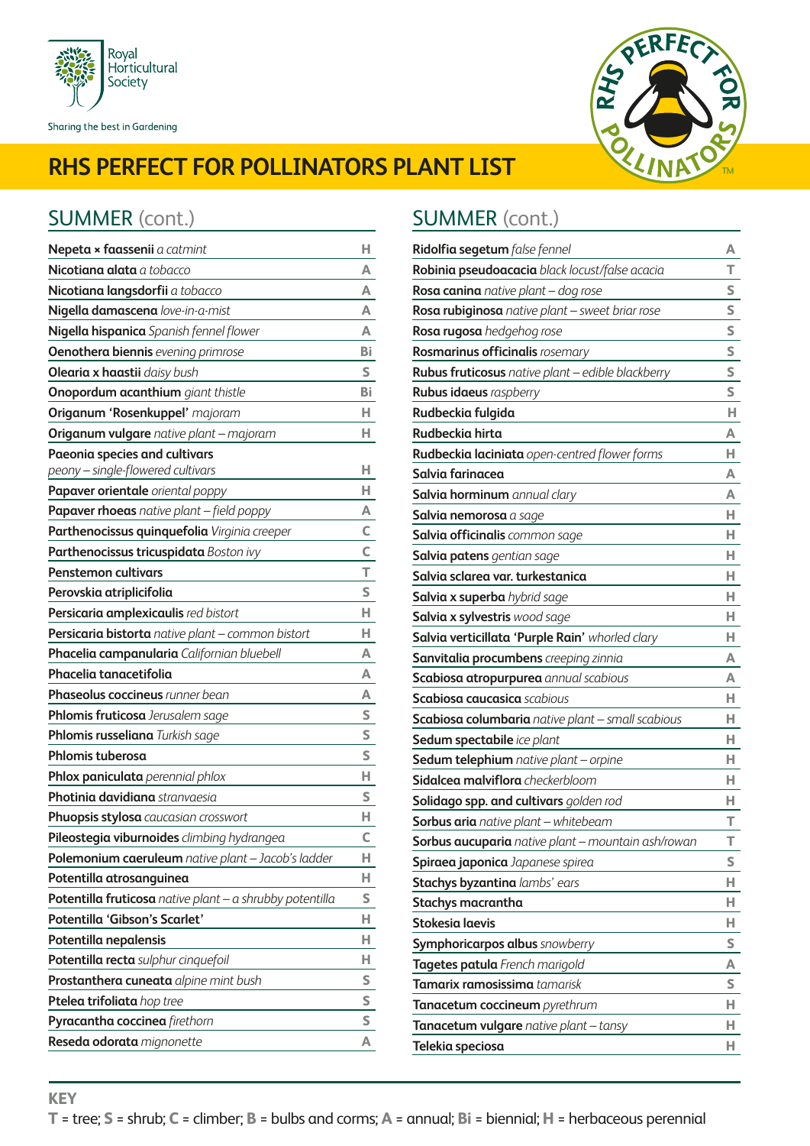



### SUMMER (cont.) SUMMER (cont.)

| Nepeta × faassenii a catmint                             | н  |
|----------------------------------------------------------|----|
| Nicotiana alata a tobacco                                | А  |
| Nicotiana langsdorfii a tobacco                          | А  |
| Nigella damascena love-in-a-mist                         | Δ  |
| Nigella hispanica Spanish fennel flower                  | А  |
| <b>Oenothera biennis</b> evening primrose                | Bi |
| <b>Olearia x haastii</b> daisy bush                      | S  |
| <b>Onopordum acanthium</b> giant thistle                 | Bi |
| Origanum 'Rosenkuppel' majoram                           | н  |
| <b>Origanum vulgare</b> native plant - majoram           | н  |
| Paeonia species and cultivars                            |    |
| peony - single-flowered cultivars                        | н  |
| Papaver orientale oriental poppy                         | н  |
| Papaver rhoeas native plant - field poppy                | А  |
| Parthenocissus quinquefolia Virginia creeper             | C  |
| Parthenocissus tricuspidata Boston ivy                   | c  |
| <b>Penstemon cultivars</b>                               | т  |
| Perovskia atriplicifolia                                 | S  |
| Persicaria amplexicaulis red bistort                     | н  |
| Persicaria bistorta native plant - common bistort        | н  |
| Phacelia campanularia Californian bluebell               | А  |
| Phacelia tanacetifolia                                   | А  |
| <b>Phaseolus coccineus</b> runner bean                   | А  |
| Phlomis fruticosa Jerusalem sage                         | S  |
| Phlomis russeliana Turkish sage                          | S  |
| Phlomis tuberosa                                         | S  |
| Phlox paniculata perennial phlox                         | н  |
| Photinia davidiana stranvaesia                           | S  |
| Phuopsis stylosa caucasian crosswort                     | н  |
| Pileostegia viburnoides climbing hydrangea               | c  |
| Polemonium caeruleum native plant - Jacob's ladder       | н  |
| Potentilla atrosanguinea                                 | н. |
| Potentilla fruticosa native plant - a shrubby potentilla | S  |
| Potentilla 'Gibson's Scarlet'                            | н  |
| Potentilla nepalensis                                    | н  |
| Potentilla recta sulphur cinquefoil                      | H. |
| Prostanthera cuneata alpine mint bush                    | S  |
| Ptelea trifoliata hop tree                               | S  |
| Pyracantha coccinea firethorn                            | S  |
| Reseda odorata mignonette                                | А  |

| Ridolfia segetum false fennel                      | A |
|----------------------------------------------------|---|
| Robinia pseudoacacia black locust/false acacia     | т |
| Rosa canina native plant - dog rose                | S |
| Rosa rubiginosa native plant - sweet briar rose    | S |
| Rosa rugosa hedgehog rose                          | S |
| Rosmarinus officinalis rosemary                    | S |
| Rubus fruticosus native plant - edible blackberry  | S |
| <b>Rubus idaeus</b> raspberry                      | S |
| Rudbeckia fulgida                                  | Н |
| Rudbeckia hirta                                    | А |
| Rudbeckia laciniata open-centred flower forms      | н |
| Salvia farinacea                                   | А |
| Salvia horminum annual clary                       | А |
| <b>Salvia nemorosa</b> a sage                      | н |
| Salvia officinalis common sage                     | н |
| <b>Salvia patens</b> gentian sage                  | н |
| Salvia sclarea var. turkestanica                   | н |
| <b>Salvia x superba</b> hybrid sage                | н |
| Salvia x sylvestris wood sage                      | н |
| Salvia verticillata 'Purple Rain' whorled clary    | н |
| Sanvitalia procumbens creeping zinnia              | А |
| Scabiosa atropurpurea annual scabious              | А |
| <b>Scabiosa caucasica</b> scabious                 | н |
| Scabiosa columbaria native plant - small scabious  | н |
| Sedum spectabile ice plant                         | н |
| Sedum telephium native plant - orpine              | н |
| <b>Sidalcea malviflora</b> checkerbloom            | н |
| Solidago spp. and cultivars golden rod             | н |
| <b>Sorbus aria</b> native plant - whitebeam        | т |
| Sorbus aucuparia native plant - mountain ash/rowan | Т |
| Spiraea japonica Japanese spirea                   | S |
| Stachys byzantina lambs' ears                      | н |
| Stachys macrantha                                  | н |
| Stokesia laevis                                    | н |
| <b>Symphoricarpos albus</b> snowberry              | S |
| Tagetes patula French marigold                     | A |
| Tamarix ramosissima tamarisk                       | S |
| Tanacetum coccineum pyrethrum                      | н |
| Tanacetum vulgare native plant - tansy             | н |
| Telekia speciosa                                   | н |
|                                                    |   |